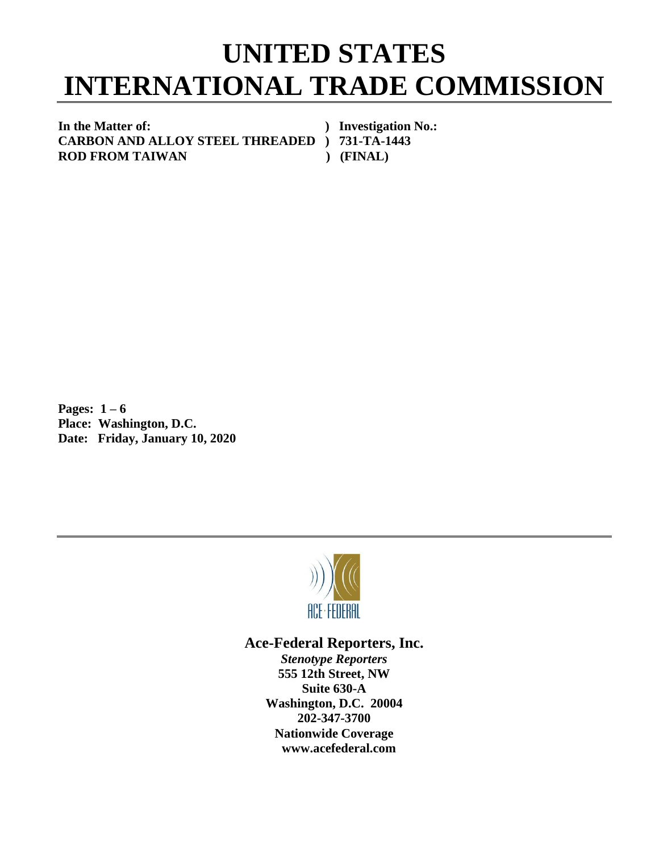## **UNITED STATES INTERNATIONAL TRADE COMMISSION**

**In the Matter of: ) Investigation No.: CARBON AND ALLOY STEEL THREADED ) 731-TA-1443 ROD FROM TAIWAN** (FINAL)

**Pages: 1 – 6 Place: Washington, D.C. Date: Friday, January 10, 2020**



## **Ace-Federal Reporters, Inc.**

*Stenotype Reporters* **555 12th Street, NW Suite 630-A Washington, D.C. 20004 202-347-3700 Nationwide Coverage www.acefederal.com**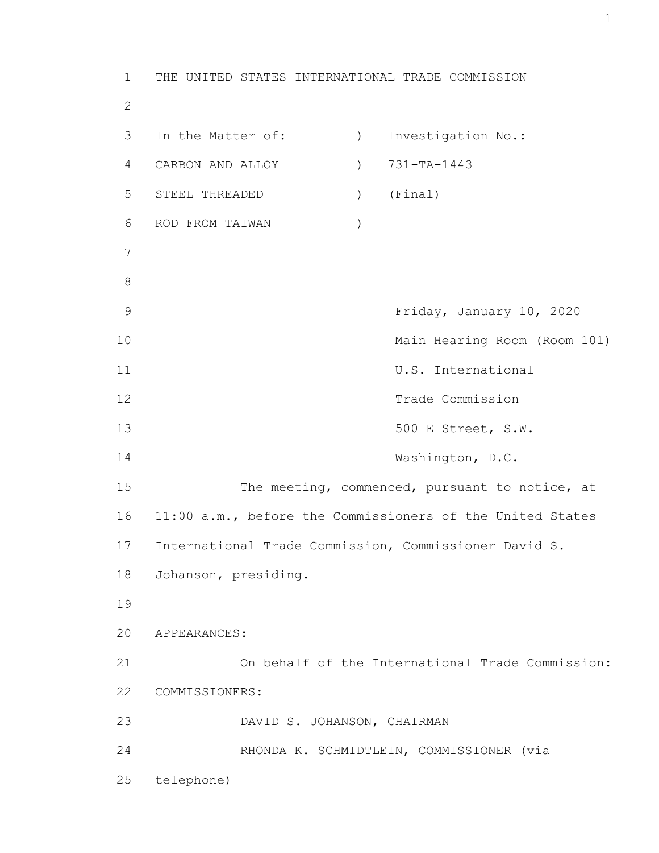1 THE UNITED STATES INTERNATIONAL TRADE COMMISSION 2 3 In the Matter of: (a) Investigation No.: 4 CARBON AND ALLOY ) 731-TA-1443 5 STEEL THREADED ) (Final) 6 ROD FROM TAIWAN ) 7 8 9 Friday, January 10, 2020 10 Main Hearing Room (Room 101) 11 U.S. International 12 Trade Commission 13 500 E Street, S.W. 14 Washington, D.C. 15 The meeting, commenced, pursuant to notice, at 16 11:00 a.m., before the Commissioners of the United States 17 International Trade Commission, Commissioner David S. 18 Johanson, presiding. 19 20 APPEARANCES: 21 On behalf of the International Trade Commission: 22 COMMISSIONERS: 23 DAVID S. JOHANSON, CHAIRMAN 24 RHONDA K. SCHMIDTLEIN, COMMISSIONER (via 25 telephone)

1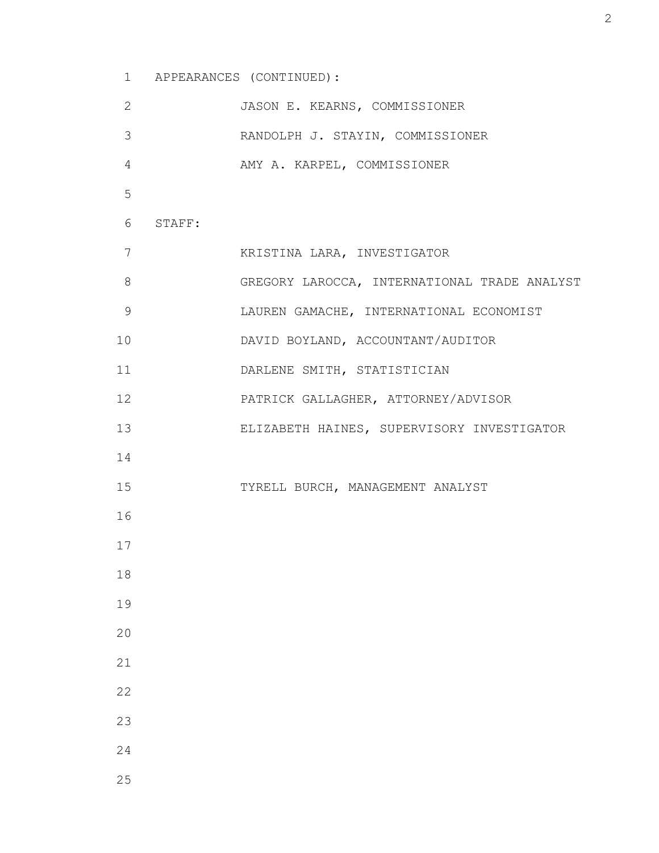1 APPEARANCES (CONTINUED): 2 JASON E. KEARNS, COMMISSIONER 3 RANDOLPH J. STAYIN, COMMISSIONER 4 AMY A. KARPEL, COMMISSIONER 5 6 STAFF: 7 KRISTINA LARA, INVESTIGATOR 8 GREGORY LAROCCA, INTERNATIONAL TRADE ANALYST 9 LAUREN GAMACHE, INTERNATIONAL ECONOMIST 10 DAVID BOYLAND, ACCOUNTANT/AUDITOR 11 DARLENE SMITH, STATISTICIAN 12 PATRICK GALLAGHER, ATTORNEY/ADVISOR 13 ELIZABETH HAINES, SUPERVISORY INVESTIGATOR 14 15 TYRELL BURCH, MANAGEMENT ANALYST 16 17 18 19 20 21 22 23 24 25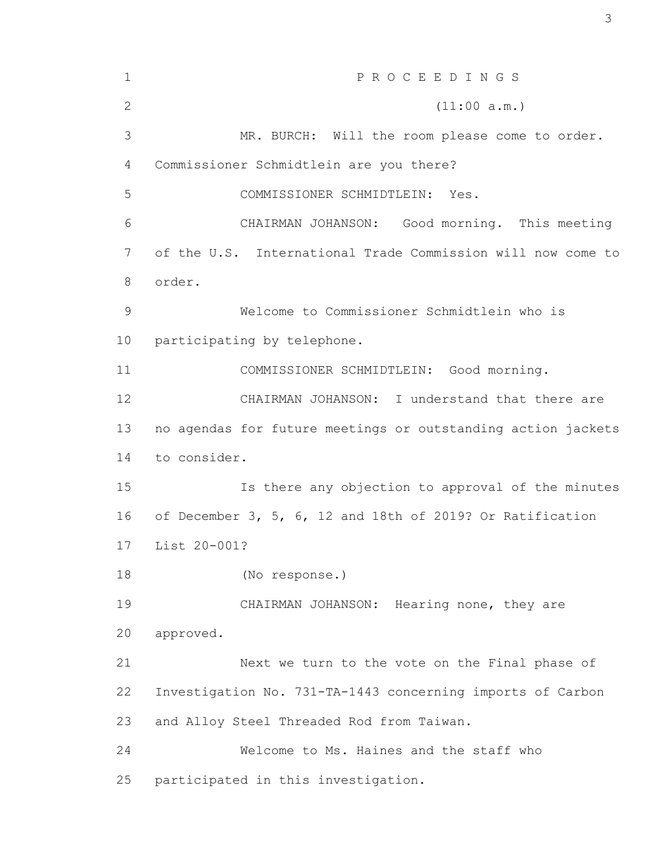1 PROCEEDINGS 2 (11:00 a.m.) 3 MR. BURCH: Will the room please come to order. 4 Commissioner Schmidtlein are you there? 5 COMMISSIONER SCHMIDTLEIN: Yes. 6 CHAIRMAN JOHANSON: Good morning. This meeting 7 of the U.S. International Trade Commission will now come to 8 order. 9 Welcome to Commissioner Schmidtlein who is 10 participating by telephone. 11 COMMISSIONER SCHMIDTLEIN: Good morning. 12 CHAIRMAN JOHANSON: I understand that there are 13 no agendas for future meetings or outstanding action jackets 14 to consider. 15 Is there any objection to approval of the minutes 16 of December 3, 5, 6, 12 and 18th of 2019? Or Ratification 17 List 20-001? 18 (No response.) 19 CHAIRMAN JOHANSON: Hearing none, they are 20 approved. 21 Next we turn to the vote on the Final phase of 22 Investigation No. 731-TA-1443 concerning imports of Carbon 23 and Alloy Steel Threaded Rod from Taiwan. 24 Welcome to Ms. Haines and the staff who 25 participated in this investigation.

3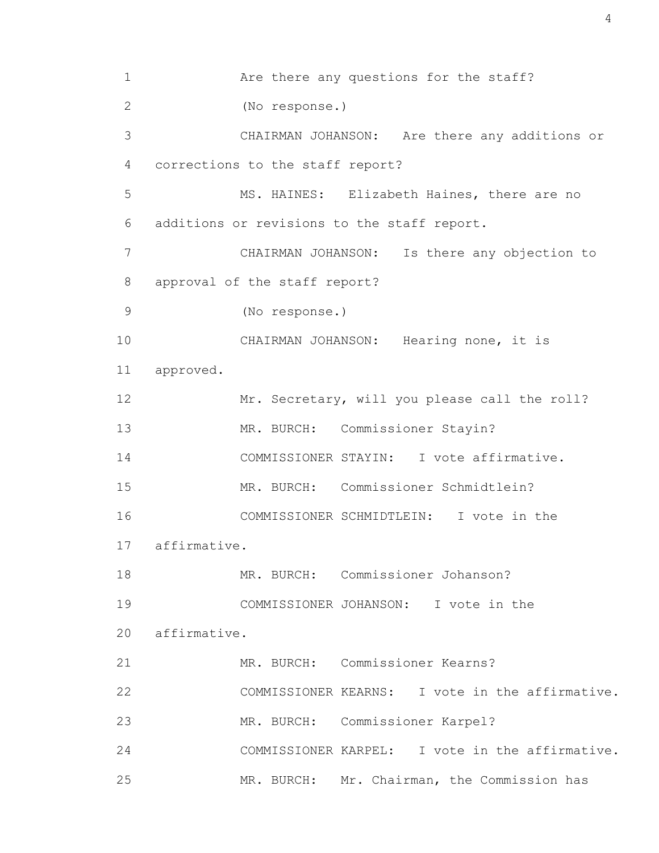1 Are there any questions for the staff? 2 (No response.) 3 CHAIRMAN JOHANSON: Are there any additions or 4 corrections to the staff report? 5 MS. HAINES: Elizabeth Haines, there are no 6 additions or revisions to the staff report. 7 CHAIRMAN JOHANSON: Is there any objection to 8 approval of the staff report? 9 (No response.) 10 CHAIRMAN JOHANSON: Hearing none, it is 11 approved. 12 Mr. Secretary, will you please call the roll? 13 MR. BURCH: Commissioner Stayin? 14 COMMISSIONER STAYIN: I vote affirmative. 15 MR. BURCH: Commissioner Schmidtlein? 16 COMMISSIONER SCHMIDTLEIN: I vote in the 17 affirmative. 18 MR. BURCH: Commissioner Johanson? 19 COMMISSIONER JOHANSON: I vote in the 20 affirmative. 21 MR. BURCH: Commissioner Kearns? 22 COMMISSIONER KEARNS: I vote in the affirmative. 23 MR. BURCH: Commissioner Karpel? 24 COMMISSIONER KARPEL: I vote in the affirmative. 25 MR. BURCH: Mr. Chairman, the Commission has

4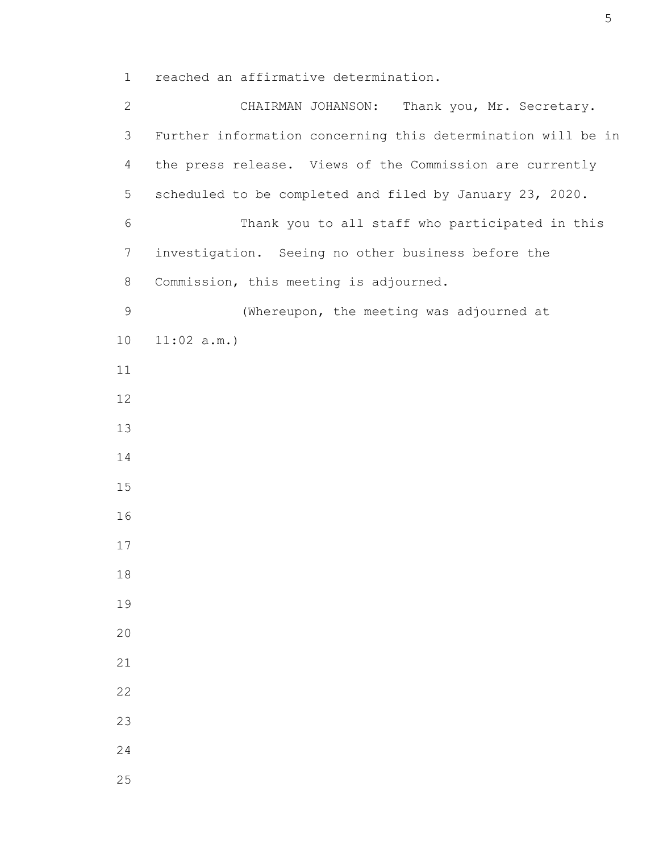1 reached an affirmative determination.

 2 CHAIRMAN JOHANSON: Thank you, Mr. Secretary. 3 Further information concerning this determination will be in 4 the press release. Views of the Commission are currently 5 scheduled to be completed and filed by January 23, 2020. 6 Thank you to all staff who participated in this 7 investigation. Seeing no other business before the 8 Commission, this meeting is adjourned. 9 (Whereupon, the meeting was adjourned at 10 11:02 a.m.) 11 12 13 14 15 16 17 18 19 20 21 22 23 24 25